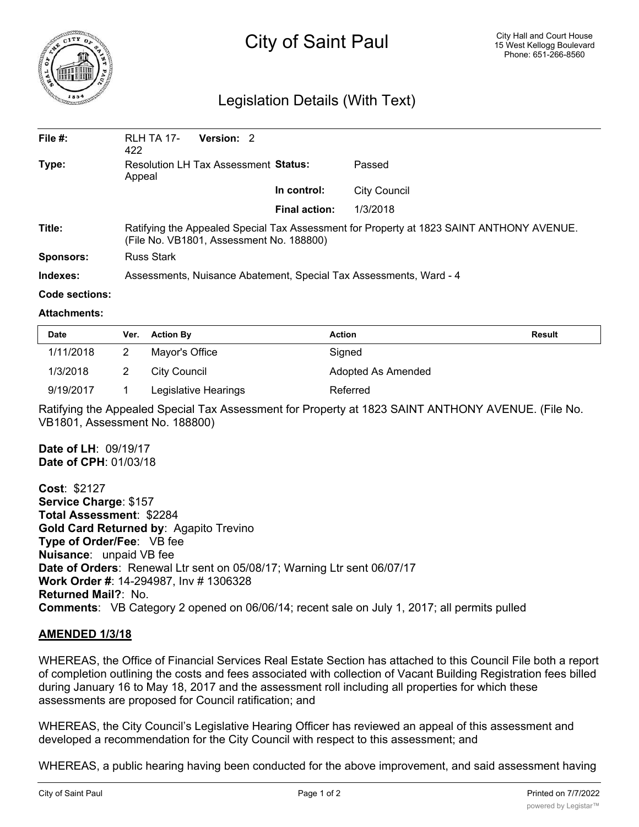

# City of Saint Paul

## Legislation Details (With Text)

| File $#$ : | <b>RLH TA 17-</b><br>422                                                                                                             | Version: 2 |                      |              |  |  |
|------------|--------------------------------------------------------------------------------------------------------------------------------------|------------|----------------------|--------------|--|--|
| Type:      | Resolution LH Tax Assessment Status:<br>Appeal                                                                                       |            |                      | Passed       |  |  |
|            |                                                                                                                                      |            | In control:          | City Council |  |  |
|            |                                                                                                                                      |            | <b>Final action:</b> | 1/3/2018     |  |  |
| Title:     | Ratifying the Appealed Special Tax Assessment for Property at 1823 SAINT ANTHONY AVENUE.<br>(File No. VB1801, Assessment No. 188800) |            |                      |              |  |  |
| Sponsors:  | Russ Stark                                                                                                                           |            |                      |              |  |  |
| Indexes:   | Assessments, Nuisance Abatement, Special Tax Assessments, Ward - 4                                                                   |            |                      |              |  |  |

### **Code sections:**

#### **Attachments:**

| <b>Date</b> | Ver. | <b>Action By</b>     | <b>Action</b>      | <b>Result</b> |
|-------------|------|----------------------|--------------------|---------------|
| 1/11/2018   |      | Mayor's Office       | Signed             |               |
| 1/3/2018    |      | City Council         | Adopted As Amended |               |
| 9/19/2017   |      | Legislative Hearings | Referred           |               |

Ratifying the Appealed Special Tax Assessment for Property at 1823 SAINT ANTHONY AVENUE. (File No. VB1801, Assessment No. 188800)

**Date of LH**: 09/19/17 **Date of CPH**: 01/03/18

**Cost**: \$2127 **Service Charge**: \$157 **Total Assessment**: \$2284 **Gold Card Returned by**: Agapito Trevino **Type of Order/Fee**: VB fee **Nuisance**: unpaid VB fee **Date of Orders**: Renewal Ltr sent on 05/08/17; Warning Ltr sent 06/07/17 **Work Order #**: 14-294987, Inv # 1306328 **Returned Mail?**: No. **Comments**: VB Category 2 opened on 06/06/14; recent sale on July 1, 2017; all permits pulled

### **AMENDED 1/3/18**

WHEREAS, the Office of Financial Services Real Estate Section has attached to this Council File both a report of completion outlining the costs and fees associated with collection of Vacant Building Registration fees billed during January 16 to May 18, 2017 and the assessment roll including all properties for which these assessments are proposed for Council ratification; and

WHEREAS, the City Council's Legislative Hearing Officer has reviewed an appeal of this assessment and developed a recommendation for the City Council with respect to this assessment; and

WHEREAS, a public hearing having been conducted for the above improvement, and said assessment having